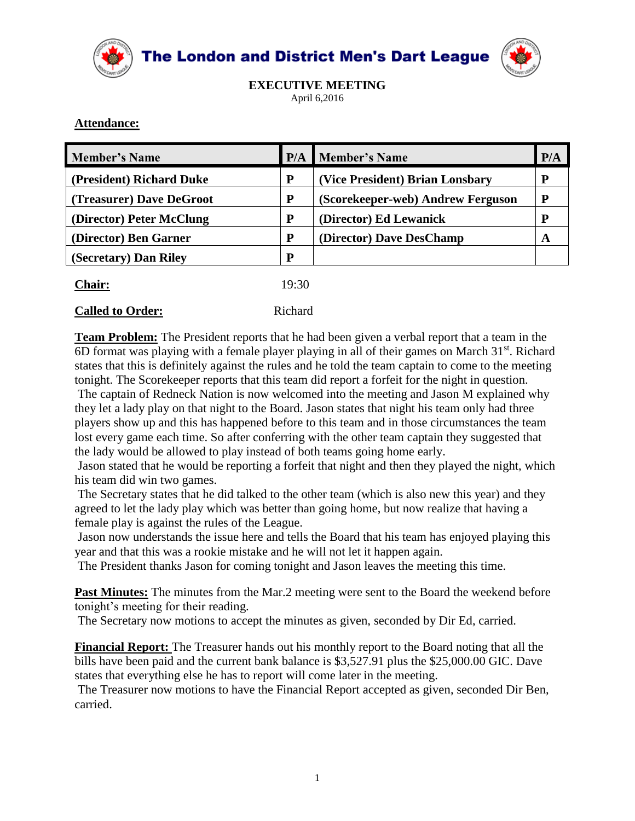

The London and District Men's Dart League



**EXECUTIVE MEETING** April 6,2016

## **Attendance:**

| <b>Member's Name</b>     | P/A   | <b>Member's Name</b>              | P/A |
|--------------------------|-------|-----------------------------------|-----|
| (President) Richard Duke | P     | (Vice President) Brian Lonsbary   | P   |
| (Treasurer) Dave DeGroot | P     | (Scorekeeper-web) Andrew Ferguson | P   |
| (Director) Peter McClung | P     | (Director) Ed Lewanick            | p   |
| (Director) Ben Garner    | P     | (Director) Dave DesChamp          | A   |
| (Secretary) Dan Riley    | P     |                                   |     |
| <b>Chair:</b>            | 19:30 |                                   |     |

| <b>Called to Order:</b> | Richard |
|-------------------------|---------|

**Team Problem:** The President reports that he had been given a verbal report that a team in the 6D format was playing with a female player playing in all of their games on March 31st. Richard states that this is definitely against the rules and he told the team captain to come to the meeting tonight. The Scorekeeper reports that this team did report a forfeit for the night in question.

The captain of Redneck Nation is now welcomed into the meeting and Jason M explained why they let a lady play on that night to the Board. Jason states that night his team only had three players show up and this has happened before to this team and in those circumstances the team lost every game each time. So after conferring with the other team captain they suggested that the lady would be allowed to play instead of both teams going home early.

Jason stated that he would be reporting a forfeit that night and then they played the night, which his team did win two games.

The Secretary states that he did talked to the other team (which is also new this year) and they agreed to let the lady play which was better than going home, but now realize that having a female play is against the rules of the League.

Jason now understands the issue here and tells the Board that his team has enjoyed playing this year and that this was a rookie mistake and he will not let it happen again.

The President thanks Jason for coming tonight and Jason leaves the meeting this time.

**Past Minutes:** The minutes from the Mar.2 meeting were sent to the Board the weekend before tonight's meeting for their reading.

The Secretary now motions to accept the minutes as given, seconded by Dir Ed, carried.

**Financial Report:** The Treasurer hands out his monthly report to the Board noting that all the bills have been paid and the current bank balance is \$3,527.91 plus the \$25,000.00 GIC. Dave states that everything else he has to report will come later in the meeting.

The Treasurer now motions to have the Financial Report accepted as given, seconded Dir Ben, carried.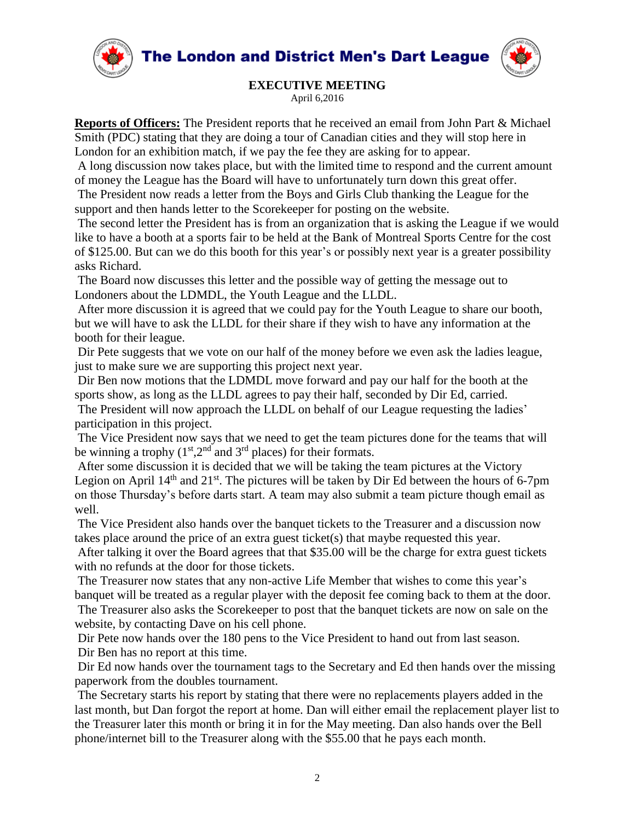



## **EXECUTIVE MEETING**

April 6,2016

**Reports of Officers:** The President reports that he received an email from John Part & Michael Smith (PDC) stating that they are doing a tour of Canadian cities and they will stop here in London for an exhibition match, if we pay the fee they are asking for to appear.

A long discussion now takes place, but with the limited time to respond and the current amount of money the League has the Board will have to unfortunately turn down this great offer.

The President now reads a letter from the Boys and Girls Club thanking the League for the support and then hands letter to the Scorekeeper for posting on the website.

The second letter the President has is from an organization that is asking the League if we would like to have a booth at a sports fair to be held at the Bank of Montreal Sports Centre for the cost of \$125.00. But can we do this booth for this year's or possibly next year is a greater possibility asks Richard.

The Board now discusses this letter and the possible way of getting the message out to Londoners about the LDMDL, the Youth League and the LLDL.

After more discussion it is agreed that we could pay for the Youth League to share our booth, but we will have to ask the LLDL for their share if they wish to have any information at the booth for their league.

Dir Pete suggests that we vote on our half of the money before we even ask the ladies league, just to make sure we are supporting this project next year.

Dir Ben now motions that the LDMDL move forward and pay our half for the booth at the sports show, as long as the LLDL agrees to pay their half, seconded by Dir Ed, carried.

The President will now approach the LLDL on behalf of our League requesting the ladies' participation in this project.

The Vice President now says that we need to get the team pictures done for the teams that will be winning a trophy  $(1<sup>st</sup>,2<sup>nd</sup>$  and  $3<sup>rd</sup>$  places) for their formats.

After some discussion it is decided that we will be taking the team pictures at the Victory Legion on April  $14<sup>th</sup>$  and  $21<sup>st</sup>$ . The pictures will be taken by Dir Ed between the hours of 6-7pm on those Thursday's before darts start. A team may also submit a team picture though email as well.

The Vice President also hands over the banquet tickets to the Treasurer and a discussion now takes place around the price of an extra guest ticket(s) that maybe requested this year.

After talking it over the Board agrees that that \$35.00 will be the charge for extra guest tickets with no refunds at the door for those tickets.

The Treasurer now states that any non-active Life Member that wishes to come this year's banquet will be treated as a regular player with the deposit fee coming back to them at the door.

The Treasurer also asks the Scorekeeper to post that the banquet tickets are now on sale on the website, by contacting Dave on his cell phone.

Dir Pete now hands over the 180 pens to the Vice President to hand out from last season. Dir Ben has no report at this time.

Dir Ed now hands over the tournament tags to the Secretary and Ed then hands over the missing paperwork from the doubles tournament.

The Secretary starts his report by stating that there were no replacements players added in the last month, but Dan forgot the report at home. Dan will either email the replacement player list to the Treasurer later this month or bring it in for the May meeting. Dan also hands over the Bell phone/internet bill to the Treasurer along with the \$55.00 that he pays each month.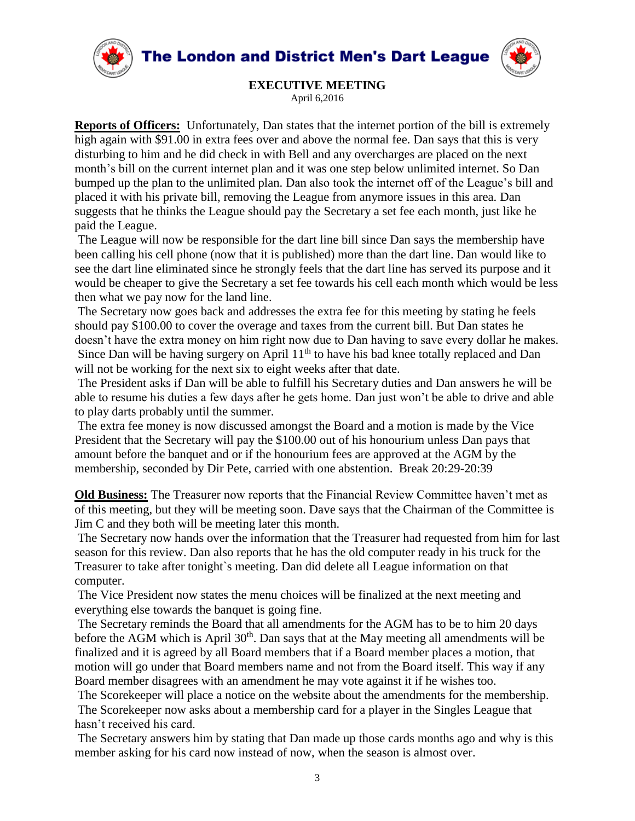The London and District Men's Dart League





**EXECUTIVE MEETING** April 6,2016

**Reports of Officers:** Unfortunately, Dan states that the internet portion of the bill is extremely high again with \$91.00 in extra fees over and above the normal fee. Dan says that this is very disturbing to him and he did check in with Bell and any overcharges are placed on the next month's bill on the current internet plan and it was one step below unlimited internet. So Dan bumped up the plan to the unlimited plan. Dan also took the internet off of the League's bill and placed it with his private bill, removing the League from anymore issues in this area. Dan suggests that he thinks the League should pay the Secretary a set fee each month, just like he paid the League.

The League will now be responsible for the dart line bill since Dan says the membership have been calling his cell phone (now that it is published) more than the dart line. Dan would like to see the dart line eliminated since he strongly feels that the dart line has served its purpose and it would be cheaper to give the Secretary a set fee towards his cell each month which would be less then what we pay now for the land line.

The Secretary now goes back and addresses the extra fee for this meeting by stating he feels should pay \$100.00 to cover the overage and taxes from the current bill. But Dan states he doesn't have the extra money on him right now due to Dan having to save every dollar he makes. Since Dan will be having surgery on April  $11<sup>th</sup>$  to have his bad knee totally replaced and Dan will not be working for the next six to eight weeks after that date.

The President asks if Dan will be able to fulfill his Secretary duties and Dan answers he will be able to resume his duties a few days after he gets home. Dan just won't be able to drive and able to play darts probably until the summer.

The extra fee money is now discussed amongst the Board and a motion is made by the Vice President that the Secretary will pay the \$100.00 out of his honourium unless Dan pays that amount before the banquet and or if the honourium fees are approved at the AGM by the membership, seconded by Dir Pete, carried with one abstention. Break 20:29-20:39

**Old Business:** The Treasurer now reports that the Financial Review Committee haven't met as of this meeting, but they will be meeting soon. Dave says that the Chairman of the Committee is Jim C and they both will be meeting later this month.

The Secretary now hands over the information that the Treasurer had requested from him for last season for this review. Dan also reports that he has the old computer ready in his truck for the Treasurer to take after tonight`s meeting. Dan did delete all League information on that computer.

The Vice President now states the menu choices will be finalized at the next meeting and everything else towards the banquet is going fine.

The Secretary reminds the Board that all amendments for the AGM has to be to him 20 days before the AGM which is April  $30<sup>th</sup>$ . Dan says that at the May meeting all amendments will be finalized and it is agreed by all Board members that if a Board member places a motion, that motion will go under that Board members name and not from the Board itself. This way if any Board member disagrees with an amendment he may vote against it if he wishes too.

The Scorekeeper will place a notice on the website about the amendments for the membership. The Scorekeeper now asks about a membership card for a player in the Singles League that hasn't received his card.

The Secretary answers him by stating that Dan made up those cards months ago and why is this member asking for his card now instead of now, when the season is almost over.